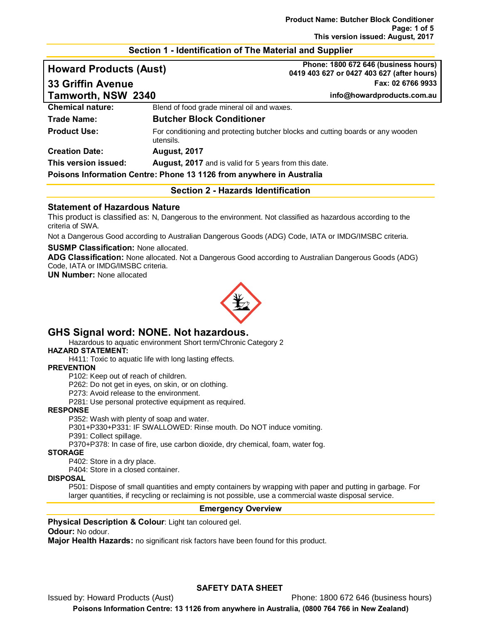#### **Section 1 - Identification of The Material and Supplier**

| <b>Howard Products (Aust)</b> |                                                       | Phone: 1800 672 646 (business hours)<br>0419 403 627 or 0427 403 627 (after hours) |
|-------------------------------|-------------------------------------------------------|------------------------------------------------------------------------------------|
| <b>33 Griffin Avenue</b>      |                                                       | Fax: 02 6766 9933                                                                  |
| Tamworth, NSW 2340            |                                                       | info@howardproducts.com.au                                                         |
| <b>Chemical nature:</b>       | Blend of food grade mineral oil and waxes.            |                                                                                    |
| Trade Name:                   | <b>Butcher Block Conditioner</b>                      |                                                                                    |
| <b>Product Use:</b>           | utensils.                                             | For conditioning and protecting butcher blocks and cutting boards or any wooden    |
| <b>Creation Date:</b>         | <b>August, 2017</b>                                   |                                                                                    |
| This version issued:          | August, 2017 and is valid for 5 years from this date. |                                                                                    |

**Poisons Information Centre: Phone 13 1126 from anywhere in Australia**

#### **Section 2 - Hazards Identification**

## **Statement of Hazardous Nature**

This product is classified as: N, Dangerous to the environment. Not classified as hazardous according to the criteria of SWA.

Not a Dangerous Good according to Australian Dangerous Goods (ADG) Code, IATA or IMDG/IMSBC criteria.

#### **SUSMP Classification:** None allocated.

**ADG Classification:** None allocated. Not a Dangerous Good according to Australian Dangerous Goods (ADG) Code, IATA or IMDG/IMSBC criteria.

**UN Number:** None allocated



# **GHS Signal word: NONE. Not hazardous.**

Hazardous to aquatic environment Short term/Chronic Category 2

#### **HAZARD STATEMENT:**

H411: Toxic to aquatic life with long lasting effects.

#### **PREVENTION**

P102: Keep out of reach of children.

P262: Do not get in eyes, on skin, or on clothing.

P273: Avoid release to the environment.

P281: Use personal protective equipment as required.

#### **RESPONSE**

P352: Wash with plenty of soap and water.

P301+P330+P331: IF SWALLOWED: Rinse mouth. Do NOT induce vomiting.

P391: Collect spillage.

P370+P378: In case of fire, use carbon dioxide, dry chemical, foam, water fog.

#### **STORAGE**

P402: Store in a dry place.

P404: Store in a closed container.

#### **DISPOSAL**

P501: Dispose of small quantities and empty containers by wrapping with paper and putting in garbage. For larger quantities, if recycling or reclaiming is not possible, use a commercial waste disposal service.

#### **Emergency Overview**

#### **Physical Description & Colour:** Light tan coloured gel.

#### **Odour:** No odour.

**Major Health Hazards:** no significant risk factors have been found for this product.

## **SAFETY DATA SHEET**

Issued by: Howard Products (Aust) Phone: 1800 672 646 (business hours)

**Poisons Information Centre: 13 1126 from anywhere in Australia, (0800 764 766 in New Zealand)**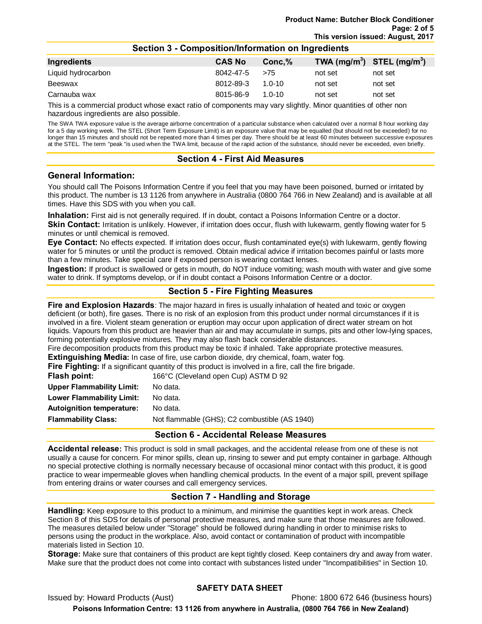| Ingredients        | <b>CAS No</b> | Conc.%     |         | TWA $(mg/m^3)$ STEL $(mg/m^3)$ |
|--------------------|---------------|------------|---------|--------------------------------|
| Liquid hydrocarbon | 8042-47-5     | >75        | not set | not set                        |
| Beeswax            | 8012-89-3     | $1.0 - 10$ | not set | not set                        |
| Carnauba wax       | 8015-86-9     | $1.0 - 10$ | not set | not set                        |

**Section 3 - Composition/Information on Ingredients**

This is a commercial product whose exact ratio of components may vary slightly. Minor quantities of other non hazardous ingredients are also possible.

The SWA TWA exposure value is the average airborne concentration of a particular substance when calculated over a normal 8 hour working day for a 5 day working week. The STEL (Short Term Exposure Limit) is an exposure value that may be equalled (but should not be exceeded) for no longer than 15 minutes and should not be repeated more than 4 times per day. There should be at least 60 minutes between successive exposures at the STEL. The term "peak "is used when the TWA limit, because of the rapid action of the substance, should never be exceeded, even briefly.

## **Section 4 - First Aid Measures**

## **General Information:**

You should call The Poisons Information Centre if you feel that you may have been poisoned, burned or irritated by this product. The number is 13 1126 from anywhere in Australia (0800 764 766 in New Zealand) and is available at all times. Have this SDS with you when you call.

**Inhalation:** First aid is not generally required. If in doubt, contact a Poisons Information Centre or a doctor.

**Skin Contact:** Irritation is unlikely. However, if irritation does occur, flush with lukewarm, gently flowing water for 5 minutes or until chemical is removed.

**Eye Contact:** No effects expected. If irritation does occur, flush contaminated eye(s) with lukewarm, gently flowing water for 5 minutes or until the product is removed. Obtain medical advice if irritation becomes painful or lasts more than a few minutes. Take special care if exposed person is wearing contact lenses.

**Ingestion:** If product is swallowed or gets in mouth, do NOT induce vomiting; wash mouth with water and give some water to drink. If symptoms develop, or if in doubt contact a Poisons Information Centre or a doctor.

# **Section 5 - Fire Fighting Measures**

**Fire and Explosion Hazards**: The major hazard in fires is usually inhalation of heated and toxic or oxygen deficient (or both), fire gases. There is no risk of an explosion from this product under normal circumstances if it is involved in a fire. Violent steam generation or eruption may occur upon application of direct water stream on hot liquids. Vapours from this product are heavier than air and may accumulate in sumps, pits and other low-lying spaces, forming potentially explosive mixtures. They may also flash back considerable distances.

Fire decomposition products from this product may be toxic if inhaled. Take appropriate protective measures. **Extinguishing Media:** In case of fire, use carbon dioxide, dry chemical, foam, water fog.

**Fire Fighting:** If a significant quantity of this product is involved in a fire, call the fire brigade.

**Flash point:** 166°C (Cleveland open Cup) ASTM D 92

| <b>Upper Flammability Limit:</b> | No data.                                      |
|----------------------------------|-----------------------------------------------|
| Lower Flammability Limit:        | No data.                                      |
| <b>Autoignition temperature:</b> | No data.                                      |
| <b>Flammability Class:</b>       | Not flammable (GHS); C2 combustible (AS 1940) |
|                                  |                                               |

# **Section 6 - Accidental Release Measures**

**Accidental release:** This product is sold in small packages, and the accidental release from one of these is not usually a cause for concern. For minor spills, clean up, rinsing to sewer and put empty container in garbage. Although no special protective clothing is normally necessary because of occasional minor contact with this product, it is good practice to wear impermeable gloves when handling chemical products. In the event of a major spill, prevent spillage from entering drains or water courses and call emergency services.

# **Section 7 - Handling and Storage**

**Handling:** Keep exposure to this product to a minimum, and minimise the quantities kept in work areas. Check Section 8 of this SDS for details of personal protective measures, and make sure that those measures are followed. The measures detailed below under "Storage" should be followed during handling in order to minimise risks to persons using the product in the workplace. Also, avoid contact or contamination of product with incompatible materials listed in Section 10.

**Storage:** Make sure that containers of this product are kept tightly closed. Keep containers dry and away from water. Make sure that the product does not come into contact with substances listed under "Incompatibilities" in Section 10.

## **SAFETY DATA SHEET**

Issued by: Howard Products (Aust) Phone: 1800 672 646 (business hours) **Poisons Information Centre: 13 1126 from anywhere in Australia, (0800 764 766 in New Zealand)**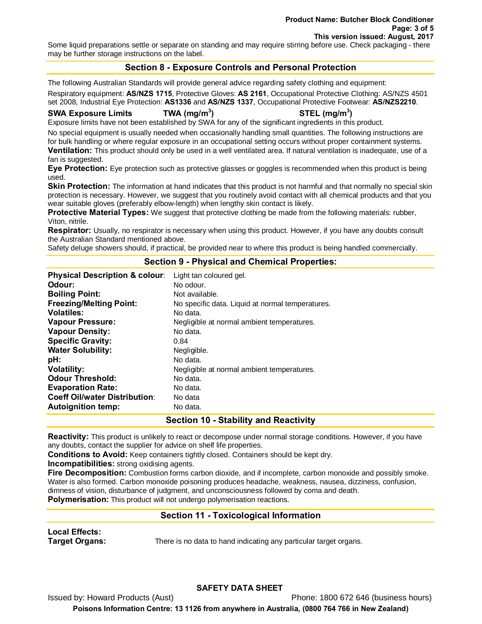Some liquid preparations settle or separate on standing and may require stirring before use. Check packaging - there may be further storage instructions on the label.

# **Section 8 - Exposure Controls and Personal Protection**

The following Australian Standards will provide general advice regarding safety clothing and equipment:

Respiratory equipment: **AS/NZS 1715**, Protective Gloves: **AS 2161**, Occupational Protective Clothing: AS/NZS 4501 set 2008, Industrial Eye Protection: **AS1336** and **AS/NZS 1337**, Occupational Protective Footwear: **AS/NZS2210**.

#### **SWA Exposure Limits TWA (mg/m3**

## **) STEL (mg/m3 )**

Exposure limits have not been established by SWA for any of the significant ingredients in this product.

No special equipment is usually needed when occasionally handling small quantities. The following instructions are for bulk handling or where regular exposure in an occupational setting occurs without proper containment systems.

**Ventilation:** This product should only be used in a well ventilated area. If natural ventilation is inadequate, use of a fan is suggested.

**Eye Protection:** Eye protection such as protective glasses or goggles is recommended when this product is being used.

**Skin Protection:** The information at hand indicates that this product is not harmful and that normally no special skin protection is necessary. However, we suggest that you routinely avoid contact with all chemical products and that you wear suitable gloves (preferably elbow-length) when lengthy skin contact is likely.

**Protective Material Types:** We suggest that protective clothing be made from the following materials: rubber, Viton, nitrile.

**Respirator:** Usually, no respirator is necessary when using this product. However, if you have any doubts consult the Australian Standard mentioned above.

Safety deluge showers should, if practical, be provided near to where this product is being handled commercially.

## **Section 9 - Physical and Chemical Properties:**

| <b>Physical Description &amp; colour:</b> | Light tan coloured gel.                          |
|-------------------------------------------|--------------------------------------------------|
| Odour:                                    | No odour.                                        |
| <b>Boiling Point:</b>                     | Not available.                                   |
| <b>Freezing/Melting Point:</b>            | No specific data. Liquid at normal temperatures. |
| <b>Volatiles:</b>                         | No data.                                         |
| <b>Vapour Pressure:</b>                   | Negligible at normal ambient temperatures.       |
| <b>Vapour Density:</b>                    | No data.                                         |
| <b>Specific Gravity:</b>                  | 0.84                                             |
| <b>Water Solubility:</b>                  | Negligible.                                      |
| pH:                                       | No data.                                         |
| <b>Volatility:</b>                        | Negligible at normal ambient temperatures.       |
| <b>Odour Threshold:</b>                   | No data.                                         |
| <b>Evaporation Rate:</b>                  | No data.                                         |
| <b>Coeff Oil/water Distribution:</b>      | No data                                          |
| <b>Autoignition temp:</b>                 | No data.                                         |
|                                           |                                                  |

**Section 10 - Stability and Reactivity**

**Reactivity:** This product is unlikely to react or decompose under normal storage conditions. However, if you have any doubts, contact the supplier for advice on shelf life properties.

**Conditions to Avoid:** Keep containers tightly closed. Containers should be kept dry.

**Incompatibilities:** strong oxidising agents.

**Fire Decomposition:** Combustion forms carbon dioxide, and if incomplete, carbon monoxide and possibly smoke. Water is also formed. Carbon monoxide poisoning produces headache, weakness, nausea, dizziness, confusion, dimness of vision, disturbance of judgment, and unconsciousness followed by coma and death. **Polymerisation:** This product will not undergo polymerisation reactions.

# **Section 11 - Toxicological Information**

**Local Effects:** 

**Target Organs:** There is no data to hand indicating any particular target organs.

## **SAFETY DATA SHEET**

Issued by: Howard Products (Aust) **Phone: 1800 672 646 (business hours)** Phone: 1800 672 646 (business hours) **Poisons Information Centre: 13 1126 from anywhere in Australia, (0800 764 766 in New Zealand)**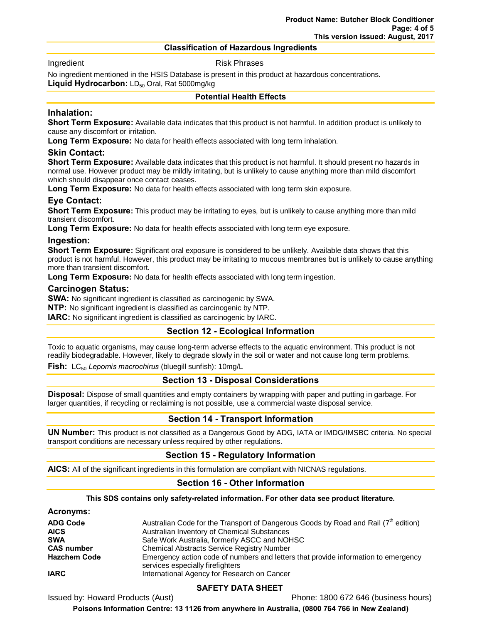#### **Classification of Hazardous Ingredients**

Ingredient **Risk Phrases** 

No ingredient mentioned in the HSIS Database is present in this product at hazardous concentrations.

**Liquid Hydrocarbon:** LD<sub>50</sub> Oral, Rat 5000mg/kg

#### **Potential Health Effects**

#### **Inhalation:**

**Short Term Exposure:** Available data indicates that this product is not harmful. In addition product is unlikely to cause any discomfort or irritation.

**Long Term Exposure:** No data for health effects associated with long term inhalation.

#### **Skin Contact:**

**Short Term Exposure:** Available data indicates that this product is not harmful. It should present no hazards in normal use. However product may be mildly irritating, but is unlikely to cause anything more than mild discomfort which should disappear once contact ceases.

**Long Term Exposure:** No data for health effects associated with long term skin exposure.

# **Eye Contact:**

**Short Term Exposure:** This product may be irritating to eyes, but is unlikely to cause anything more than mild transient discomfort.

**Long Term Exposure:** No data for health effects associated with long term eye exposure.

#### **Ingestion:**

**Short Term Exposure:** Significant oral exposure is considered to be unlikely. Available data shows that this product is not harmful. However, this product may be irritating to mucous membranes but is unlikely to cause anything more than transient discomfort.

**Long Term Exposure:** No data for health effects associated with long term ingestion.

#### **Carcinogen Status:**

**SWA:** No significant ingredient is classified as carcinogenic by SWA.

**NTP:** No significant ingredient is classified as carcinogenic by NTP.

**IARC:** No significant ingredient is classified as carcinogenic by IARC.

## **Section 12 - Ecological Information**

Toxic to aquatic organisms, may cause long-term adverse effects to the aquatic environment. This product is not readily biodegradable. However, likely to degrade slowly in the soil or water and not cause long term problems.

**Fish:** LC<sub>50</sub> Lepomis macrochirus (bluegill sunfish): 10mg/L

## **Section 13 - Disposal Considerations**

**Disposal:** Dispose of small quantities and empty containers by wrapping with paper and putting in garbage. For larger quantities, if recycling or reclaiming is not possible, use a commercial waste disposal service.

# **Section 14 - Transport Information**

**UN Number:** This product is not classified as a Dangerous Good by ADG, IATA or IMDG/IMSBC criteria. No special transport conditions are necessary unless required by other regulations.

## **Section 15 - Regulatory Information**

**AICS:** All of the significant ingredients in this formulation are compliant with NICNAS regulations.

## **Section 16 - Other Information**

**This SDS contains only safety-related information. For other data see product literature.**

#### **Acronyms:**

| <b>ADG Code</b>     | Australian Code for the Transport of Dangerous Goods by Road and Rail $(7^{th}$ edition)                               |
|---------------------|------------------------------------------------------------------------------------------------------------------------|
| <b>AICS</b>         | Australian Inventory of Chemical Substances                                                                            |
| <b>SWA</b>          | Safe Work Australia, formerly ASCC and NOHSC                                                                           |
| <b>CAS number</b>   | <b>Chemical Abstracts Service Registry Number</b>                                                                      |
| <b>Hazchem Code</b> | Emergency action code of numbers and letters that provide information to emergency<br>services especially firefighters |
| <b>IARC</b>         | International Agency for Research on Cancer                                                                            |

## **SAFETY DATA SHEET**

Issued by: Howard Products (Aust) Phone: 1800 672 646 (business hours)

**Poisons Information Centre: 13 1126 from anywhere in Australia, (0800 764 766 in New Zealand)**